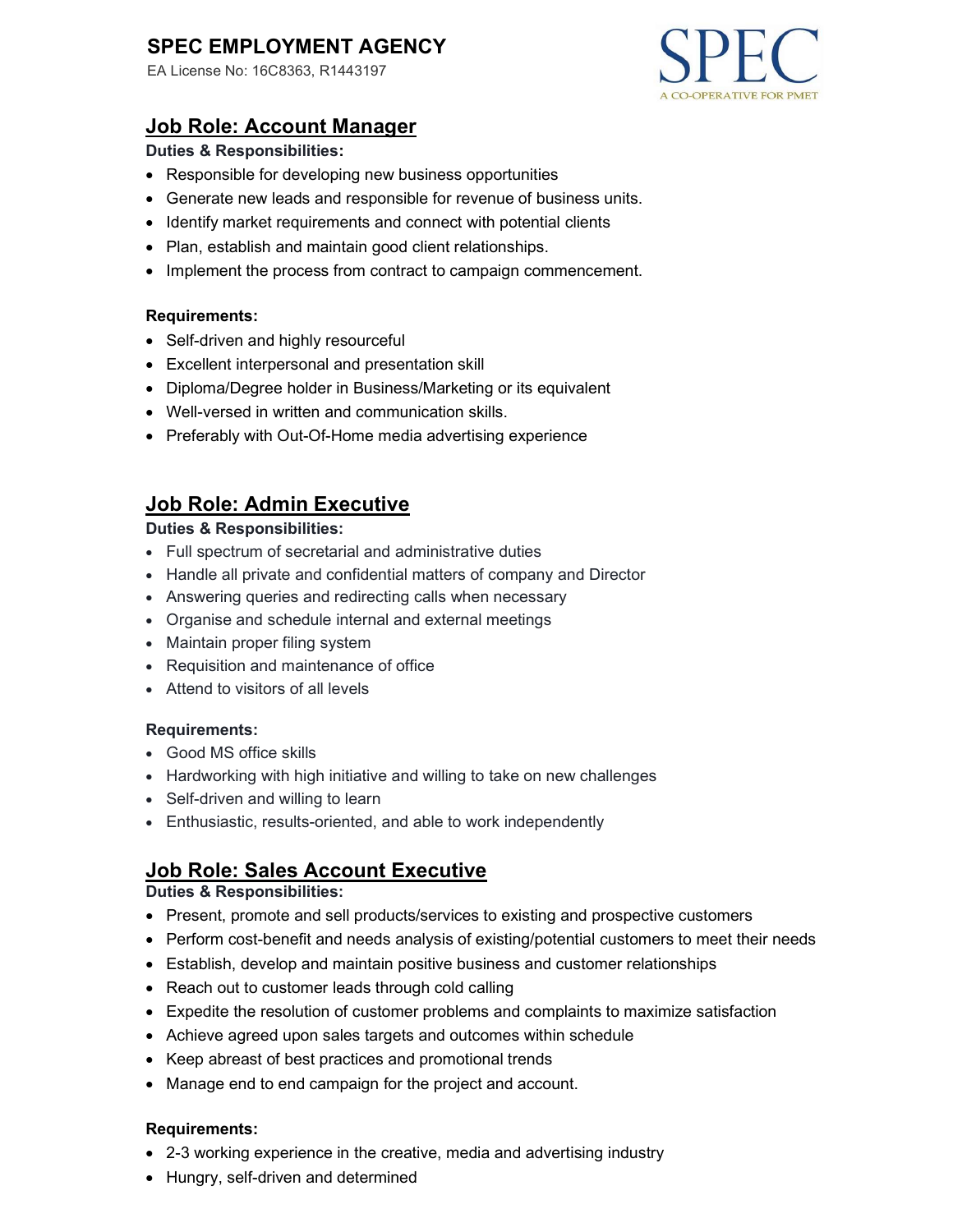# SPEC EMPLOYMENT AGENCY

EA License No: 16C8363, R1443197



## Job Role: Account Manager

### Duties & Responsibilities:

- Responsible for developing new business opportunities
- Generate new leads and responsible for revenue of business units.
- Identify market requirements and connect with potential clients
- Plan, establish and maintain good client relationships.
- Implement the process from contract to campaign commencement.

#### Requirements:

- Self-driven and highly resourceful
- Excellent interpersonal and presentation skill
- Diploma/Degree holder in Business/Marketing or its equivalent
- Well-versed in written and communication skills.
- Preferably with Out-Of-Home media advertising experience

## Job Role: Admin Executive

#### Duties & Responsibilities:

- Full spectrum of secretarial and administrative duties
- Handle all private and confidential matters of company and Director
- Answering queries and redirecting calls when necessary
- Organise and schedule internal and external meetings
- Maintain proper filing system
- Requisition and maintenance of office
- Attend to visitors of all levels

#### Requirements:

- Good MS office skills
- Hardworking with high initiative and willing to take on new challenges
- Self-driven and willing to learn
- Enthusiastic, results-oriented, and able to work independently

## **Job Role: Sales Account Executive**

## Duties & Responsibilities:

- Present, promote and sell products/services to existing and prospective customers
- Perform cost-benefit and needs analysis of existing/potential customers to meet their needs
- Establish, develop and maintain positive business and customer relationships
- Reach out to customer leads through cold calling
- Expedite the resolution of customer problems and complaints to maximize satisfaction
- Achieve agreed upon sales targets and outcomes within schedule
- Keep abreast of best practices and promotional trends
- Manage end to end campaign for the project and account.

#### Requirements:

- 2-3 working experience in the creative, media and advertising industry
- Hungry, self-driven and determined